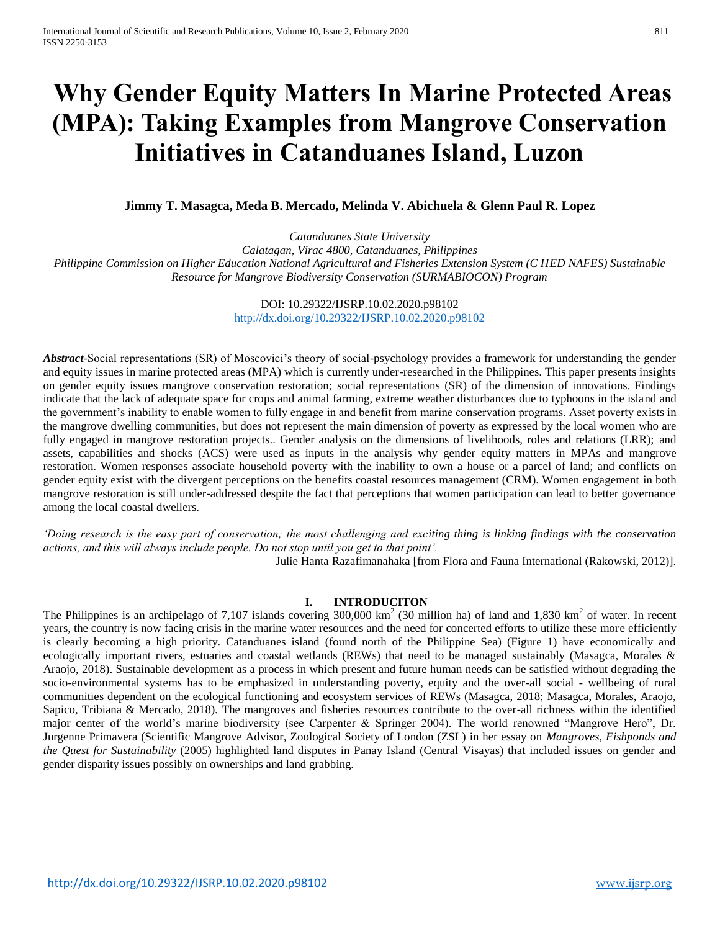# **Why Gender Equity Matters In Marine Protected Areas (MPA): Taking Examples from Mangrove Conservation Initiatives in Catanduanes Island, Luzon**

**Jimmy T. Masagca, Meda B. Mercado, Melinda V. Abichuela & Glenn Paul R. Lopez**

*Catanduanes State University Calatagan, Virac 4800, Catanduanes, Philippines Philippine Commission on Higher Education National Agricultural and Fisheries Extension System (C HED NAFES) Sustainable Resource for Mangrove Biodiversity Conservation (SURMABIOCON) Program*

> DOI: 10.29322/IJSRP.10.02.2020.p98102 <http://dx.doi.org/10.29322/IJSRP.10.02.2020.p98102>

*Abstract-*Social representations (SR) of Moscovici's theory of social-psychology provides a framework for understanding the gender and equity issues in marine protected areas (MPA) which is currently under-researched in the Philippines. This paper presents insights on gender equity issues mangrove conservation restoration; social representations (SR) of the dimension of innovations. Findings indicate that the lack of adequate space for crops and animal farming, extreme weather disturbances due to typhoons in the island and the government's inability to enable women to fully engage in and benefit from marine conservation programs. Asset poverty exists in the mangrove dwelling communities, but does not represent the main dimension of poverty as expressed by the local women who are fully engaged in mangrove restoration projects.. Gender analysis on the dimensions of livelihoods, roles and relations (LRR); and assets, capabilities and shocks (ACS) were used as inputs in the analysis why gender equity matters in MPAs and mangrove restoration. Women responses associate household poverty with the inability to own a house or a parcel of land; and conflicts on gender equity exist with the divergent perceptions on the benefits coastal resources management (CRM). Women engagement in both mangrove restoration is still under-addressed despite the fact that perceptions that women participation can lead to better governance among the local coastal dwellers.

*'Doing research is the easy part of conservation; the most challenging and exciting thing is linking findings with the conservation actions, and this will always include people. Do not stop until you get to that point'.* 

Julie Hanta Razafimanahaka [from Flora and Fauna International (Rakowski, 2012)].

# **I. INTRODUCITON**

The Philippines is an archipelago of 7,107 islands covering 300,000 km<sup>2</sup> (30 million ha) of land and 1,830 km<sup>2</sup> of water. In recent years, the country is now facing crisis in the marine water resources and the need for concerted efforts to utilize these more efficiently is clearly becoming a high priority. Catanduanes island (found north of the Philippine Sea) (Figure 1) have economically and ecologically important rivers, estuaries and coastal wetlands (REWs) that need to be managed sustainably (Masagca, Morales & Araojo, 2018). Sustainable development as a process in which present and future human needs can be satisfied without degrading the socio-environmental systems has to be emphasized in understanding poverty, equity and the over-all social - wellbeing of rural communities dependent on the ecological functioning and ecosystem services of REWs (Masagca, 2018; Masagca, Morales, Araojo, Sapico, Tribiana & Mercado, 2018). The mangroves and fisheries resources contribute to the over-all richness within the identified major center of the world's marine biodiversity (see Carpenter & Springer 2004). The world renowned "Mangrove Hero", Dr. Jurgenne Primavera (Scientific Mangrove Advisor, Zoological Society of London (ZSL) in her essay on *Mangroves, Fishponds and the Quest for Sustainability* (2005) highlighted land disputes in Panay Island (Central Visayas) that included issues on gender and gender disparity issues possibly on ownerships and land grabbing.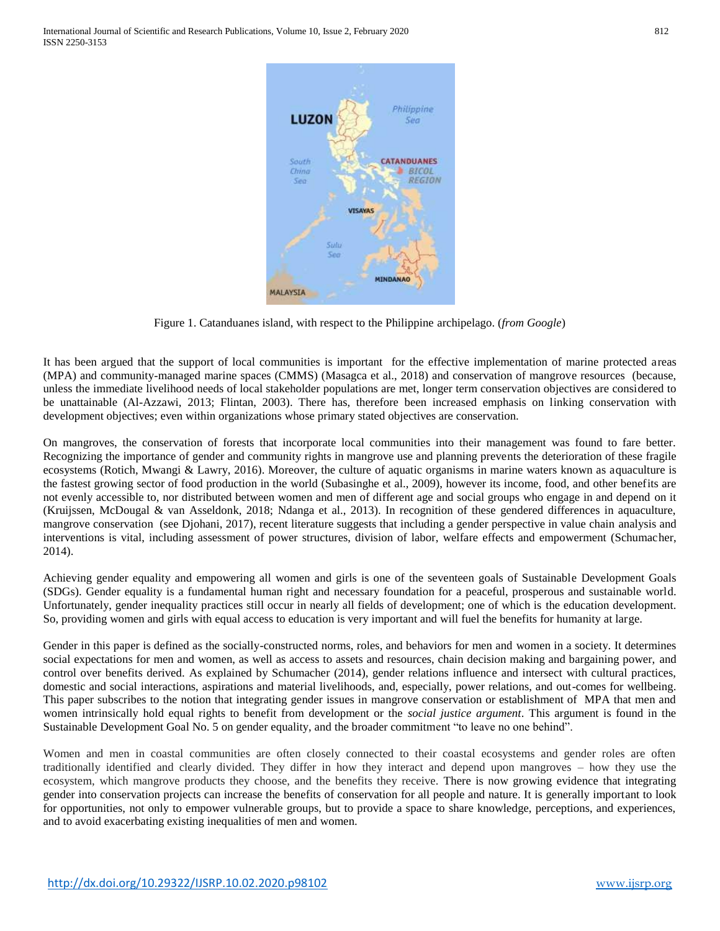

Figure 1. Catanduanes island, with respect to the Philippine archipelago. (*from Google*)

It has been argued that the support of local communities is important for the effective implementation of marine protected areas (MPA) and community-managed marine spaces (CMMS) (Masagca et al., 2018) and conservation of mangrove resources (because, unless the immediate livelihood needs of local stakeholder populations are met, longer term conservation objectives are considered to be unattainable (Al-Azzawi, 2013; Flintan, 2003). There has, therefore been increased emphasis on linking conservation with development objectives; even within organizations whose primary stated objectives are conservation.

On mangroves, the conservation of forests that incorporate local communities into their management was found to fare better. Recognizing the importance of gender and community rights in mangrove use and planning prevents the deterioration of these fragile ecosystems (Rotich, Mwangi & Lawry, 2016). Moreover, the culture of aquatic organisms in marine waters known as aquaculture is the fastest growing sector of food production in the world (Subasinghe et al., 2009), however its income, food, and other benefits are not evenly accessible to, nor distributed between women and men of different age and social groups who engage in and depend on it (Kruijssen, McDougal & van Asseldonk, 2018; Ndanga et al., 2013). In recognition of these gendered differences in aquaculture, mangrove conservation (see Djohani, 2017), recent literature suggests that including a gender perspective in value chain analysis and interventions is vital, including assessment of power structures, division of labor, welfare effects and empowerment (Schumacher, 2014).

Achieving gender equality and empowering all women and girls is one of the seventeen goals of Sustainable Development Goals (SDGs). Gender equality is a fundamental human right and necessary foundation for a peaceful, prosperous and sustainable world. Unfortunately, gender inequality practices still occur in nearly all fields of development; one of which is the education development. So, providing women and girls with equal access to education is very important and will fuel the benefits for humanity at large.

Gender in this paper is defined as the socially-constructed norms, roles, and behaviors for men and women in a society. It determines social expectations for men and women, as well as access to assets and resources, chain decision making and bargaining power, and control over benefits derived. As explained by Schumacher (2014), gender relations influence and intersect with cultural practices, domestic and social interactions, aspirations and material livelihoods, and, especially, power relations, and out-comes for wellbeing. This paper subscribes to the notion that integrating gender issues in mangrove conservation or establishment of MPA that men and women intrinsically hold equal rights to benefit from development or the *social justice argument*. This argument is found in the Sustainable Development Goal No. 5 on gender equality, and the broader commitment "to leave no one behind".

Women and men in coastal communities are often closely connected to their coastal ecosystems and gender roles are often traditionally identified and clearly divided. They differ in how they interact and depend upon mangroves – how they use the ecosystem, which mangrove products they choose, and the benefits they receive. There is now growing evidence that integrating gender into conservation projects can increase the benefits of conservation for all people and nature. It is generally important to look for opportunities, not only to empower vulnerable groups, but to provide a space to share knowledge, perceptions, and experiences, and to avoid exacerbating existing inequalities of men and women.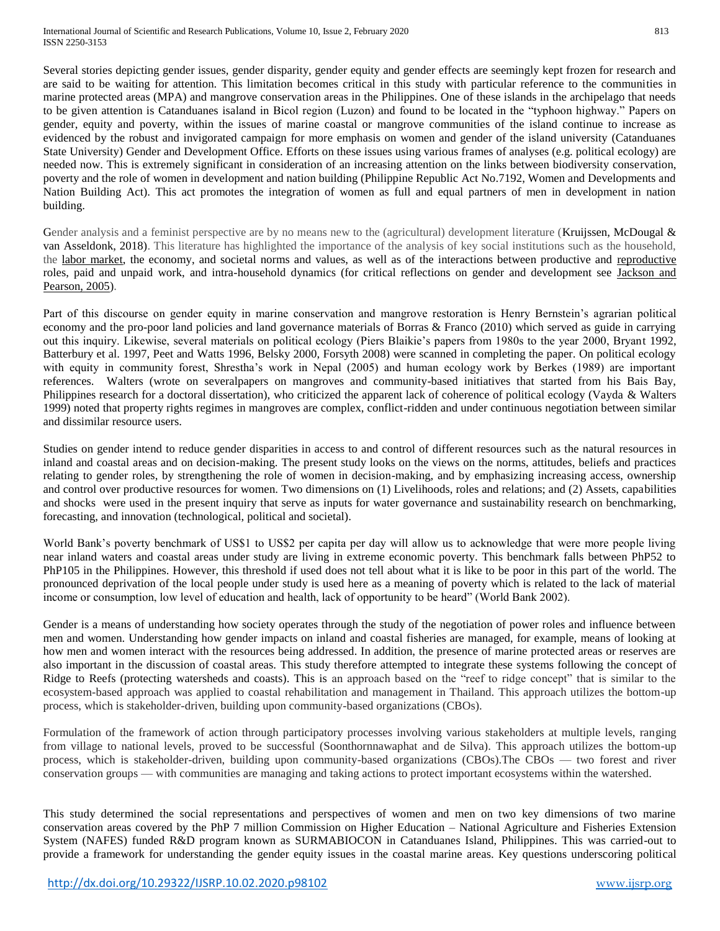needed now. This is extremely significant in consideration of an increasing attention on the links between biodiversity conservation, poverty and the role of women in development and nation building (Philippine Republic Act No.7192, Women and Developments and Nation Building Act). This act promotes the integration of women as full and equal partners of men in development in nation building.

Gender analysis and a feminist perspective are by no means new to the (agricultural) development literature (Kruijssen, McDougal  $\&$ van Asseldonk, 2018). This literature has highlighted the importance of the analysis of key social institutions such as the household, the [labor market,](https://www.sciencedirect.com/topics/agricultural-and-biological-sciences/labor-market) the economy, and societal norms and values, as well as of the interactions between productive and [reproductive](https://www.sciencedirect.com/topics/agricultural-and-biological-sciences/reproductives) roles, paid and unpaid work, and intra-household dynamics (for critical reflections on gender and development see [Jackson and](https://www.sciencedirect.com/science/article/pii/S0044848617325577#bb0205)  [Pearson, 2005\)](https://www.sciencedirect.com/science/article/pii/S0044848617325577#bb0205).

Part of this discourse on gender equity in marine conservation and mangrove restoration is Henry Bernstein's agrarian political economy and the pro-poor land policies and land governance materials of Borras & Franco (2010) which served as guide in carrying out this inquiry. Likewise, several materials on political ecology (Piers Blaikie's papers from 1980s to the year 2000, Bryant 1992, Batterbury et al. 1997, Peet and Watts 1996, Belsky 2000, Forsyth 2008) were scanned in completing the paper. On political ecology with equity in community forest, Shrestha's work in Nepal (2005) and human ecology work by Berkes (1989) are important references. Walters (wrote on severalpapers on mangroves and community-based initiatives that started from his Bais Bay, Philippines research for a doctoral dissertation), who criticized the apparent lack of coherence of political ecology (Vayda & Walters 1999) noted that property rights regimes in mangroves are complex, conflict-ridden and under continuous negotiation between similar and dissimilar resource users.

Studies on gender intend to reduce gender disparities in access to and control of different resources such as the natural resources in inland and coastal areas and on decision-making. The present study looks on the views on the norms, attitudes, beliefs and practices relating to gender roles, by strengthening the role of women in decision-making, and by emphasizing increasing access, ownership and control over productive resources for women. Two dimensions on (1) Livelihoods, roles and relations; and (2) Assets, capabilities and shocks were used in the present inquiry that serve as inputs for water governance and sustainability research on benchmarking, forecasting, and innovation (technological, political and societal).

World Bank's poverty benchmark of US\$1 to US\$2 per capita per day will allow us to acknowledge that were more people living near inland waters and coastal areas under study are living in extreme economic poverty. This benchmark falls between PhP52 to PhP105 in the Philippines. However, this threshold if used does not tell about what it is like to be poor in this part of the world. The pronounced deprivation of the local people under study is used here as a meaning of poverty which is related to the lack of material income or consumption, low level of education and health, lack of opportunity to be heard" (World Bank 2002).

Gender is a means of understanding how society operates through the study of the negotiation of power roles and influence between men and women. Understanding how gender impacts on inland and coastal fisheries are managed, for example, means of looking at how men and women interact with the resources being addressed. In addition, the presence of marine protected areas or reserves are also important in the discussion of coastal areas. This study therefore attempted to integrate these systems following the concept of Ridge to Reefs (protecting watersheds and coasts). This is an approach based on the "reef to ridge concept" that is similar to the ecosystem-based approach was applied to coastal rehabilitation and management in Thailand. This approach utilizes the bottom-up process, which is stakeholder-driven, building upon community-based organizations (CBOs).

Formulation of the framework of action through participatory processes involving various stakeholders at multiple levels, ranging from village to national levels, proved to be successful (Soonthornnawaphat and de Silva). This approach utilizes the bottom-up process, which is stakeholder-driven, building upon community-based organizations (CBOs).The CBOs — two forest and river conservation groups — with communities are managing and taking actions to protect important ecosystems within the watershed.

This study determined the social representations and perspectives of women and men on two key dimensions of two marine conservation areas covered by the PhP 7 million Commission on Higher Education – National Agriculture and Fisheries Extension System (NAFES) funded R&D program known as SURMABIOCON in Catanduanes Island, Philippines. This was carried-out to provide a framework for understanding the gender equity issues in the coastal marine areas. Key questions underscoring political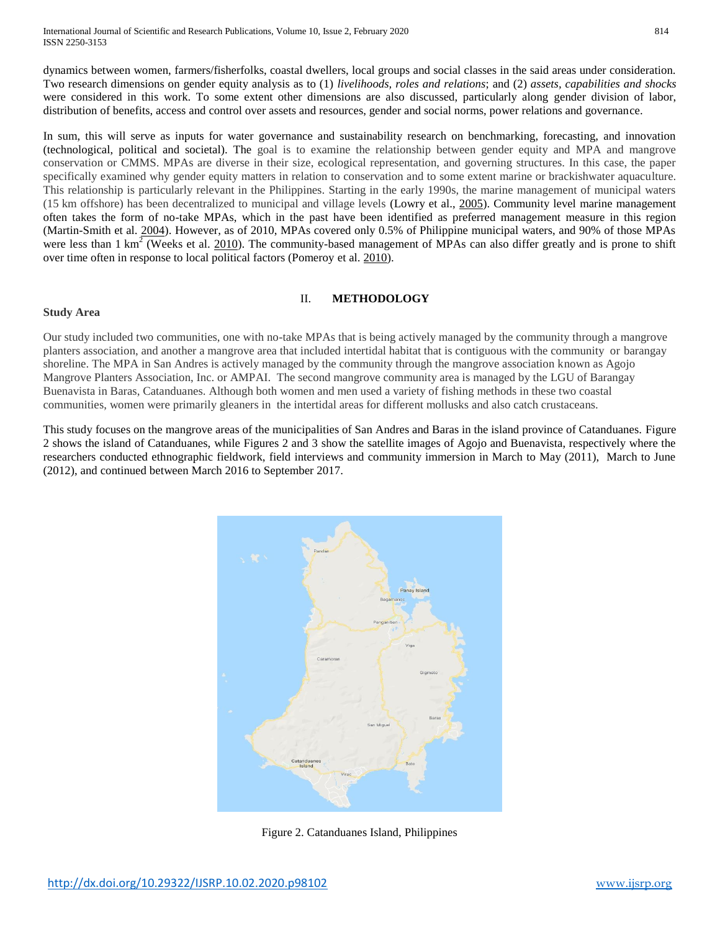International Journal of Scientific and Research Publications, Volume 10, Issue 2, February 2020 814 ISSN 2250-3153

dynamics between women, farmers/fisherfolks, coastal dwellers, local groups and social classes in the said areas under consideration. Two research dimensions on gender equity analysis as to (1) *livelihoods, roles and relations*; and (2) *assets, capabilities and shocks*  were considered in this work. To some extent other dimensions are also discussed, particularly along gender division of labor, distribution of benefits, access and control over assets and resources, gender and social norms, power relations and governance.

In sum, this will serve as inputs for water governance and sustainability research on benchmarking, forecasting, and innovation (technological, political and societal). The goal is to examine the relationship between gender equity and MPA and mangrove conservation or CMMS. MPAs are diverse in their size, ecological representation, and governing structures. In this case, the paper specifically examined why gender equity matters in relation to conservation and to some extent marine or brackishwater aquaculture. This relationship is particularly relevant in the Philippines. Starting in the early 1990s, the marine management of municipal waters (15 km offshore) has been decentralized to municipal and village levels (Lowry et al., [2005\)](https://maritimestudiesjournal.springeropen.com/articles/10.1007/s40152-018-0107-7#CR32). Community level marine management often takes the form of no-take MPAs, which in the past have been identified as preferred management measure in this region (Martin-Smith et al. [2004\)](https://maritimestudiesjournal.springeropen.com/articles/10.1007/s40152-018-0107-7#CR33). However, as of 2010, MPAs covered only 0.5% of Philippine municipal waters, and 90% of those MPAs were less than 1 km<sup>2</sup> (Weeks et al. [2010\)](https://maritimestudiesjournal.springeropen.com/articles/10.1007/s40152-018-0107-7#CR54). The community-based management of MPAs can also differ greatly and is prone to shift over time often in response to local political factors (Pomeroy et al. [2010\)](https://maritimestudiesjournal.springeropen.com/articles/10.1007/s40152-018-0107-7#CR37).

## II. **METHODOLOGY**

#### **Study Area**

Our study included two communities, one with no-take MPAs that is being actively managed by the community through a mangrove planters association, and another a mangrove area that included intertidal habitat that is contiguous with the community or barangay shoreline. The MPA in San Andres is actively managed by the community through the mangrove association known as Agojo Mangrove Planters Association, Inc. or AMPAI. The second mangrove community area is managed by the LGU of Barangay Buenavista in Baras, Catanduanes. Although both women and men used a variety of fishing methods in these two coastal communities, women were primarily gleaners in the intertidal areas for different mollusks and also catch crustaceans.

This study focuses on the mangrove areas of the municipalities of San Andres and Baras in the island province of Catanduanes. Figure 2 shows the island of Catanduanes, while Figures 2 and 3 show the satellite images of Agojo and Buenavista, respectively where the researchers conducted ethnographic fieldwork, field interviews and community immersion in March to May (2011), March to June (2012), and continued between March 2016 to September 2017.



Figure 2. Catanduanes Island, Philippines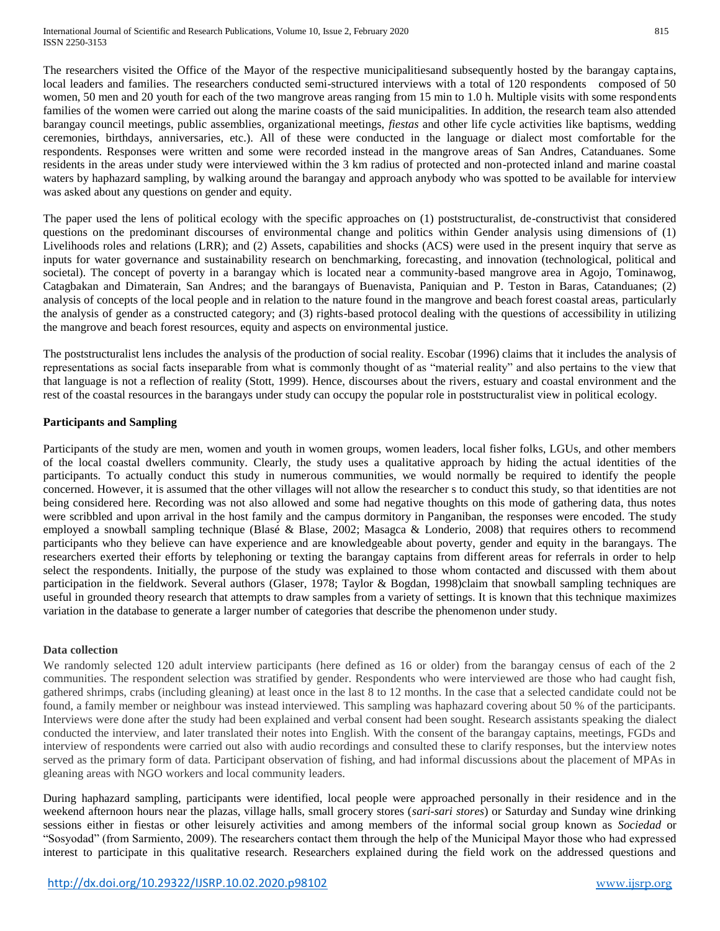The researchers visited the Office of the Mayor of the respective municipalitiesand subsequently hosted by the barangay captains, local leaders and families. The researchers conducted semi-structured interviews with a total of 120 respondents composed of 50 women, 50 men and 20 youth for each of the two mangrove areas ranging from 15 min to 1.0 h. Multiple visits with some respondents families of the women were carried out along the marine coasts of the said municipalities. In addition, the research team also attended barangay council meetings, public assemblies, organizational meetings, *fiestas* and other life cycle activities like baptisms, wedding ceremonies, birthdays, anniversaries, etc.). All of these were conducted in the language or dialect most comfortable for the respondents. Responses were written and some were recorded instead in the mangrove areas of San Andres, Catanduanes. Some residents in the areas under study were interviewed within the 3 km radius of protected and non-protected inland and marine coastal waters by haphazard sampling, by walking around the barangay and approach anybody who was spotted to be available for interview was asked about any questions on gender and equity.

The paper used the lens of political ecology with the specific approaches on (1) poststructuralist, de-constructivist that considered questions on the predominant discourses of environmental change and politics within Gender analysis using dimensions of (1) Livelihoods roles and relations (LRR); and (2) Assets, capabilities and shocks (ACS) were used in the present inquiry that serve as inputs for water governance and sustainability research on benchmarking, forecasting, and innovation (technological, political and societal). The concept of poverty in a barangay which is located near a community-based mangrove area in Agojo, Tominawog, Catagbakan and Dimaterain, San Andres; and the barangays of Buenavista, Paniquian and P. Teston in Baras, Catanduanes; (2) analysis of concepts of the local people and in relation to the nature found in the mangrove and beach forest coastal areas, particularly the analysis of gender as a constructed category; and (3) rights-based protocol dealing with the questions of accessibility in utilizing the mangrove and beach forest resources, equity and aspects on environmental justice.

The poststructuralist lens includes the analysis of the production of social reality. Escobar (1996) claims that it includes the analysis of representations as social facts inseparable from what is commonly thought of as "material reality" and also pertains to the view that that language is not a reflection of reality (Stott, 1999). Hence, discourses about the rivers, estuary and coastal environment and the rest of the coastal resources in the barangays under study can occupy the popular role in poststructuralist view in political ecology.

# **Participants and Sampling**

Participants of the study are men, women and youth in women groups, women leaders, local fisher folks, LGUs, and other members of the local coastal dwellers community. Clearly, the study uses a qualitative approach by hiding the actual identities of the participants. To actually conduct this study in numerous communities, we would normally be required to identify the people concerned. However, it is assumed that the other villages will not allow the researcher s to conduct this study, so that identities are not being considered here. Recording was not also allowed and some had negative thoughts on this mode of gathering data, thus notes were scribbled and upon arrival in the host family and the campus dormitory in Panganiban, the responses were encoded. The study employed a snowball sampling technique (Blasé & Blase, 2002; Masagca & Londerio, 2008) that requires others to recommend participants who they believe can have experience and are knowledgeable about poverty, gender and equity in the barangays. The researchers exerted their efforts by telephoning or texting the barangay captains from different areas for referrals in order to help select the respondents. Initially, the purpose of the study was explained to those whom contacted and discussed with them about participation in the fieldwork. Several authors (Glaser, 1978; Taylor & Bogdan, 1998)claim that snowball sampling techniques are useful in grounded theory research that attempts to draw samples from a variety of settings. It is known that this technique maximizes variation in the database to generate a larger number of categories that describe the phenomenon under study.

# **Data collection**

We randomly selected 120 adult interview participants (here defined as 16 or older) from the barangay census of each of the 2 communities. The respondent selection was stratified by gender. Respondents who were interviewed are those who had caught fish, gathered shrimps, crabs (including gleaning) at least once in the last 8 to 12 months. In the case that a selected candidate could not be found, a family member or neighbour was instead interviewed. This sampling was haphazard covering about 50 % of the participants. Interviews were done after the study had been explained and verbal consent had been sought. Research assistants speaking the dialect conducted the interview, and later translated their notes into English. With the consent of the barangay captains, meetings, FGDs and interview of respondents were carried out also with audio recordings and consulted these to clarify responses, but the interview notes served as the primary form of data. Participant observation of fishing, and had informal discussions about the placement of MPAs in gleaning areas with NGO workers and local community leaders.

During haphazard sampling, participants were identified, local people were approached personally in their residence and in the weekend afternoon hours near the plazas, village halls, small grocery stores (*sari-sari stores*) or Saturday and Sunday wine drinking sessions either in fiestas or other leisurely activities and among members of the informal social group known as *Sociedad* or "Sosyodad" (from Sarmiento, 2009). The researchers contact them through the help of the Municipal Mayor those who had expressed interest to participate in this qualitative research. Researchers explained during the field work on the addressed questions and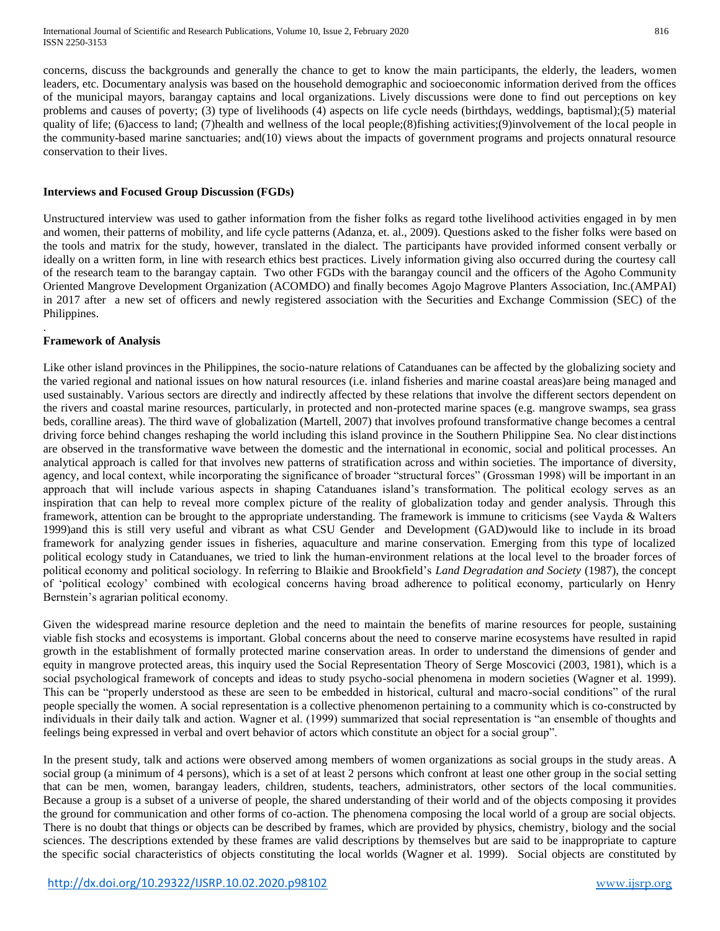concerns, discuss the backgrounds and generally the chance to get to know the main participants, the elderly, the leaders, women leaders, etc. Documentary analysis was based on the household demographic and socioeconomic information derived from the offices of the municipal mayors, barangay captains and local organizations. Lively discussions were done to find out perceptions on key problems and causes of poverty; (3) type of livelihoods (4) aspects on life cycle needs (birthdays, weddings, baptismal);(5) material quality of life; (6)access to land; (7)health and wellness of the local people;(8)fishing activities;(9)involvement of the local people in the community-based marine sanctuaries; and(10) views about the impacts of government programs and projects onnatural resource conservation to their lives.

#### **Interviews and Focused Group Discussion (FGDs)**

Unstructured interview was used to gather information from the fisher folks as regard tothe livelihood activities engaged in by men and women, their patterns of mobility, and life cycle patterns (Adanza, et. al., 2009). Questions asked to the fisher folks were based on the tools and matrix for the study, however, translated in the dialect. The participants have provided informed consent verbally or ideally on a written form, in line with research ethics best practices. Lively information giving also occurred during the courtesy call of the research team to the barangay captain. Two other FGDs with the barangay council and the officers of the Agoho Community Oriented Mangrove Development Organization (ACOMDO) and finally becomes Agojo Magrove Planters Association, Inc.(AMPAI) in 2017 after a new set of officers and newly registered association with the Securities and Exchange Commission (SEC) of the Philippines.

#### **Framework of Analysis**

.

Like other island provinces in the Philippines, the socio-nature relations of Catanduanes can be affected by the globalizing society and the varied regional and national issues on how natural resources (i.e. inland fisheries and marine coastal areas)are being managed and used sustainably. Various sectors are directly and indirectly affected by these relations that involve the different sectors dependent on the rivers and coastal marine resources, particularly, in protected and non-protected marine spaces (e.g. mangrove swamps, sea grass beds, coralline areas). The third wave of globalization (Martell, 2007) that involves profound transformative change becomes a central driving force behind changes reshaping the world including this island province in the Southern Philippine Sea. No clear distinctions are observed in the transformative wave between the domestic and the international in economic, social and political processes. An analytical approach is called for that involves new patterns of stratification across and within societies. The importance of diversity, agency, and local context, while incorporating the significance of broader "structural forces" (Grossman 1998) will be important in an approach that will include various aspects in shaping Catanduanes island's transformation. The political ecology serves as an inspiration that can help to reveal more complex picture of the reality of globalization today and gender analysis. Through this framework, attention can be brought to the appropriate understanding. The framework is immune to criticisms (see Vayda & Walters 1999)and this is still very useful and vibrant as what CSU Gender and Development (GAD)would like to include in its broad framework for analyzing gender issues in fisheries, aquaculture and marine conservation. Emerging from this type of localized political ecology study in Catanduanes, we tried to link the human-environment relations at the local level to the broader forces of political economy and political sociology. In referring to Blaikie and Brookfield's *Land Degradation and Society* (1987), the concept of 'political ecology' combined with ecological concerns having broad adherence to political economy, particularly on Henry Bernstein's agrarian political economy.

Given the widespread marine resource depletion and the need to maintain the benefits of marine resources for people, sustaining viable fish stocks and ecosystems is important. Global concerns about the need to conserve marine ecosystems have resulted in rapid growth in the establishment of formally protected marine conservation areas. In order to understand the dimensions of gender and equity in mangrove protected areas, this inquiry used the Social Representation Theory of Serge Moscovici (2003, 1981), which is a social psychological framework of concepts and ideas to study psycho-social phenomena in modern societies (Wagner et al. 1999). This can be "properly understood as these are seen to be embedded in historical, cultural and macro-social conditions" of the rural people specially the women. A social representation is a collective phenomenon pertaining to a community which is co-constructed by individuals in their daily talk and action. Wagner et al. (1999) summarized that social representation is "an ensemble of thoughts and feelings being expressed in verbal and overt behavior of actors which constitute an object for a social group".

In the present study, talk and actions were observed among members of women organizations as social groups in the study areas. A social group (a minimum of 4 persons), which is a set of at least 2 persons which confront at least one other group in the social setting that can be men, women, barangay leaders, children, students, teachers, administrators, other sectors of the local communities. Because a group is a subset of a universe of people, the shared understanding of their world and of the objects composing it provides the ground for communication and other forms of co-action. The phenomena composing the local world of a group are social objects. There is no doubt that things or objects can be described by frames, which are provided by physics, chemistry, biology and the social sciences. The descriptions extended by these frames are valid descriptions by themselves but are said to be inappropriate to capture the specific social characteristics of objects constituting the local worlds (Wagner et al. 1999). Social objects are constituted by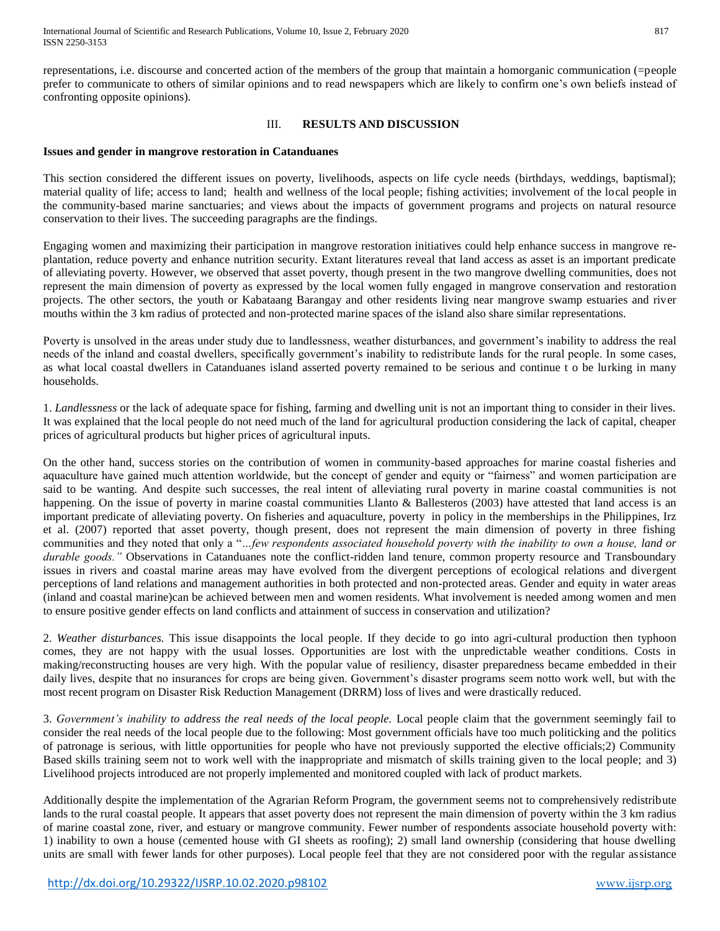representations, i.e. discourse and concerted action of the members of the group that maintain a homorganic communication (=people prefer to communicate to others of similar opinions and to read newspapers which are likely to confirm one's own beliefs instead of confronting opposite opinions).

#### III. **RESULTS AND DISCUSSION**

#### **Issues and gender in mangrove restoration in Catanduanes**

This section considered the different issues on poverty, livelihoods, aspects on life cycle needs (birthdays, weddings, baptismal); material quality of life; access to land; health and wellness of the local people; fishing activities; involvement of the local people in the community-based marine sanctuaries; and views about the impacts of government programs and projects on natural resource conservation to their lives. The succeeding paragraphs are the findings.

Engaging women and maximizing their participation in mangrove restoration initiatives could help enhance success in mangrove replantation, reduce poverty and enhance nutrition security. Extant literatures reveal that land access as asset is an important predicate of alleviating poverty. However, we observed that asset poverty, though present in the two mangrove dwelling communities, does not represent the main dimension of poverty as expressed by the local women fully engaged in mangrove conservation and restoration projects. The other sectors, the youth or Kabataang Barangay and other residents living near mangrove swamp estuaries and river mouths within the 3 km radius of protected and non-protected marine spaces of the island also share similar representations.

Poverty is unsolved in the areas under study due to landlessness, weather disturbances, and government's inability to address the real needs of the inland and coastal dwellers, specifically government's inability to redistribute lands for the rural people. In some cases, as what local coastal dwellers in Catanduanes island asserted poverty remained to be serious and continue t o be lurking in many households.

1. *Landlessness* or the lack of adequate space for fishing, farming and dwelling unit is not an important thing to consider in their lives. It was explained that the local people do not need much of the land for agricultural production considering the lack of capital, cheaper prices of agricultural products but higher prices of agricultural inputs.

On the other hand, success stories on the contribution of women in community-based approaches for marine coastal fisheries and aquaculture have gained much attention worldwide, but the concept of gender and equity or "fairness" and women participation are said to be wanting. And despite such successes, the real intent of alleviating rural poverty in marine coastal communities is not happening. On the issue of poverty in marine coastal communities Llanto & Ballesteros (2003) have attested that land access is an important predicate of alleviating poverty. On fisheries and aquaculture, poverty in policy in the memberships in the Philippines, Irz et al. (2007) reported that asset poverty, though present, does not represent the main dimension of poverty in three fishing communities and they noted that only a "*…few respondents associated household poverty with the inability to own a house, land or durable goods."* Observations in Catanduanes note the conflict-ridden land tenure, common property resource and Transboundary issues in rivers and coastal marine areas may have evolved from the divergent perceptions of ecological relations and divergent perceptions of land relations and management authorities in both protected and non-protected areas. Gender and equity in water areas (inland and coastal marine)can be achieved between men and women residents. What involvement is needed among women and men to ensure positive gender effects on land conflicts and attainment of success in conservation and utilization?

2. *Weather disturbances.* This issue disappoints the local people. If they decide to go into agri-cultural production then typhoon comes, they are not happy with the usual losses. Opportunities are lost with the unpredictable weather conditions. Costs in making/reconstructing houses are very high. With the popular value of resiliency, disaster preparedness became embedded in their daily lives, despite that no insurances for crops are being given. Government's disaster programs seem notto work well, but with the most recent program on Disaster Risk Reduction Management (DRRM) loss of lives and were drastically reduced.

3. *Government's inability to address the real needs of the local people.* Local people claim that the government seemingly fail to consider the real needs of the local people due to the following: Most government officials have too much politicking and the politics of patronage is serious, with little opportunities for people who have not previously supported the elective officials;2) Community Based skills training seem not to work well with the inappropriate and mismatch of skills training given to the local people; and 3) Livelihood projects introduced are not properly implemented and monitored coupled with lack of product markets.

Additionally despite the implementation of the Agrarian Reform Program, the government seems not to comprehensively redistribute lands to the rural coastal people. It appears that asset poverty does not represent the main dimension of poverty within the 3 km radius of marine coastal zone, river, and estuary or mangrove community. Fewer number of respondents associate household poverty with: 1) inability to own a house (cemented house with GI sheets as roofing); 2) small land ownership (considering that house dwelling units are small with fewer lands for other purposes). Local people feel that they are not considered poor with the regular assistance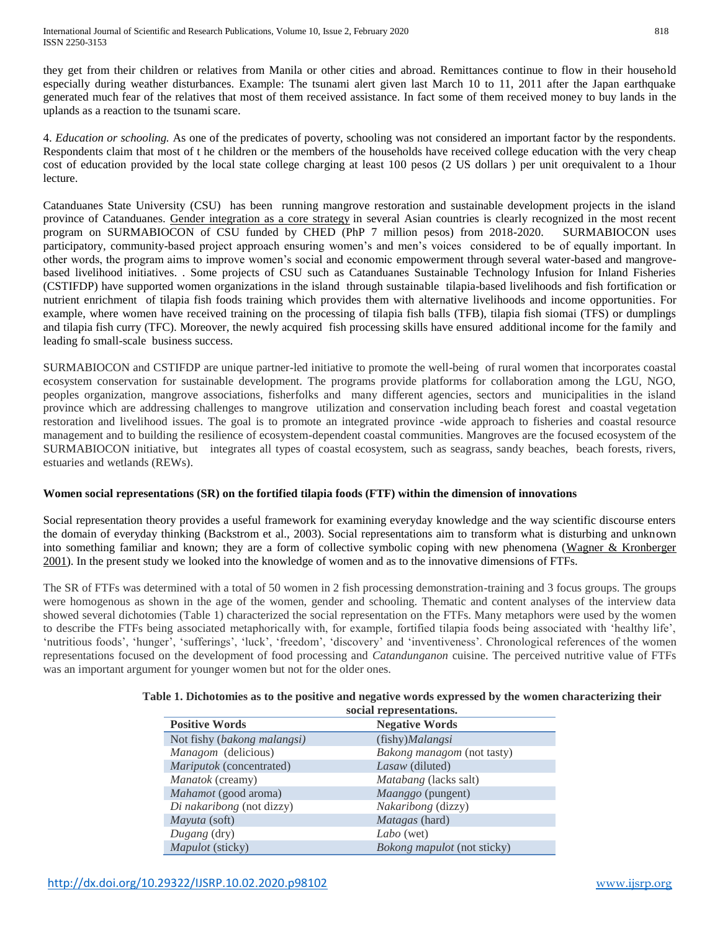they get from their children or relatives from Manila or other cities and abroad. Remittances continue to flow in their household especially during weather disturbances. Example: The tsunami alert given last March 10 to 11, 2011 after the Japan earthquake generated much fear of the relatives that most of them received assistance. In fact some of them received money to buy lands in the uplands as a reaction to the tsunami scare.

4. *Education or schooling.* As one of the predicates of poverty, schooling was not considered an important factor by the respondents. Respondents claim that most of t he children or the members of the households have received college education with the very cheap cost of education provided by the local state college charging at least 100 pesos (2 US dollars ) per unit orequivalent to a 1hour lecture.

Catanduanes State University (CSU) has been running mangrove restoration and sustainable development projects in the island province of Catanduanes. [Gender integration as a core strategy](https://www.mangrovesforthefuture.org/assets/Repository/Documents/MFFGenderfinalupdateoct16.pdf) in several Asian countries is clearly recognized in the most recent program on SURMABIOCON of CSU funded by CHED (PhP 7 million pesos) from 2018-2020. SURMABIOCON uses participatory, community-based project approach ensuring women's and men's voices considered to be of equally important. In other words, the program aims to improve women's social and economic empowerment through several water-based and mangrovebased livelihood initiatives. . Some projects of CSU such as Catanduanes Sustainable Technology Infusion for Inland Fisheries (CSTIFDP) have supported women organizations in the island through sustainable tilapia-based livelihoods and fish fortification or nutrient enrichment of tilapia fish foods training which provides them with alternative livelihoods and income opportunities. For example, where women have received training on the processing of tilapia fish balls (TFB), tilapia fish siomai (TFS) or dumplings and tilapia fish curry (TFC). Moreover, the newly acquired fish processing skills have ensured additional income for the family and leading fo small-scale business success.

SURMABIOCON and CSTIFDP are unique partner-led initiative to promote the well-being of rural women that incorporates coastal ecosystem conservation for sustainable development. The programs provide platforms for collaboration among the LGU, NGO, peoples organization, mangrove associations, fisherfolks and many different agencies, sectors and municipalities in the island province which are addressing challenges to mangrove utilization and conservation including beach forest and coastal vegetation restoration and livelihood issues. The goal is to promote an integrated province -wide approach to fisheries and coastal resource management and to building the resilience of ecosystem-dependent coastal communities. Mangroves are the focused ecosystem of the SURMABIOCON initiative, but integrates all types of coastal ecosystem, such as seagrass, sandy beaches, beach forests, rivers, estuaries and wetlands (REWs).

# **Women social representations (SR) on the fortified tilapia foods (FTF) within the dimension of innovations**

Social representation theory provides a useful framework for examining everyday knowledge and the way scientific discourse enters the domain of everyday thinking (Backstrom et al., 2003). Social representations aim to transform what is disturbing and unknown into something familiar and known; they are a form of collective symbolic coping with new phenomena (Wagner & Kronberger [2001\)](http://www.sciencedirect.com.scopeesprx.elsevier.com/science/article/pii/S0195666303000059#BIB31). In the present study we looked into the knowledge of women and as to the innovative dimensions of FTFs.

The SR of FTFs was determined with a total of 50 women in 2 fish processing demonstration-training and 3 focus groups. The groups were homogenous as shown in the age of the women, gender and schooling. Thematic and content analyses of the interview data showed several dichotomies (Table 1) characterized the social representation on the FTFs. Many metaphors were used by the women to describe the FTFs being associated metaphorically with, for example, fortified tilapia foods being associated with 'healthy life', 'nutritious foods', 'hunger', 'sufferings', 'luck', 'freedom', 'discovery' and 'inventiveness'. Chronological references of the women representations focused on the development of food processing and *Catandunganon* cuisine. The perceived nutritive value of FTFs was an important argument for younger women but not for the older ones.

| social representations.         |                                    |
|---------------------------------|------------------------------------|
| <b>Positive Words</b>           | <b>Negative Words</b>              |
| Not fishy (bakong malangsi)     | (fishy) Malangsi                   |
| Managom (delicious)             | Bakong managom (not tasty)         |
| <i>Mariputok</i> (concentrated) | Lasaw (diluted)                    |
| Manatok (creamy)                | <i>Matabang</i> (lacks salt)       |
| <i>Mahamot</i> (good aroma)     | <i>Maanggo</i> (pungent)           |
| Di nakaribong (not dizzy)       | Nakaribong (dizzy)                 |
| Mayuta (soft)                   | <i>Matagas</i> (hard)              |
| Dugang (dry)                    | Labo (wet)                         |
| <i>Mapulot</i> (sticky)         | <i>Bokong mapulot</i> (not sticky) |

# **Table 1. Dichotomies as to the positive and negative words expressed by the women characterizing their**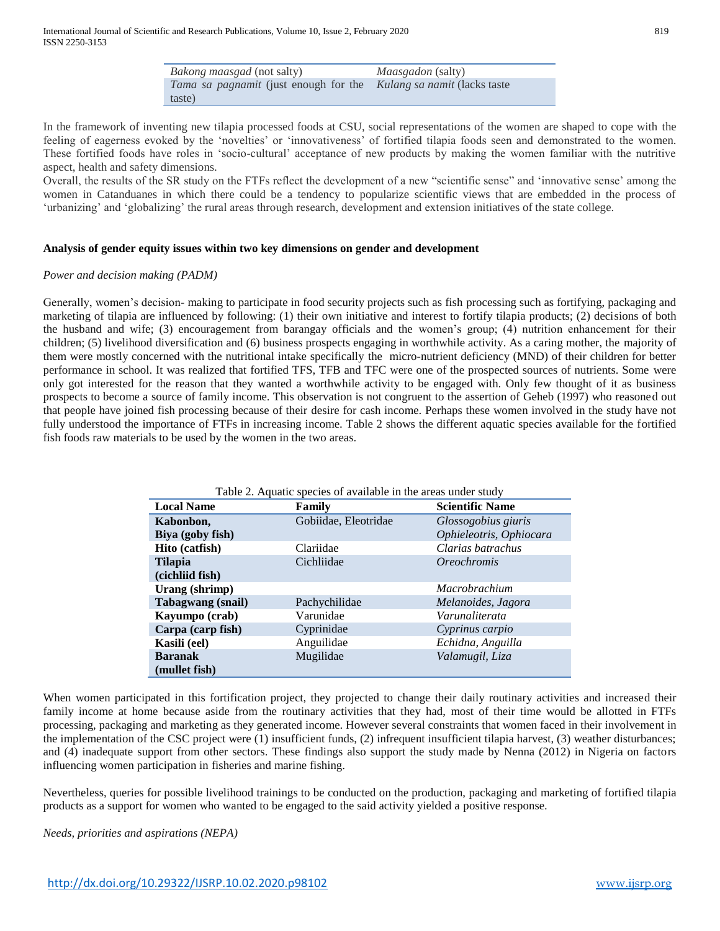| ۰.<br>×<br>$\sim$ | I<br>۰.<br>٠ |
|-------------------|--------------|
|-------------------|--------------|

| <i>Bakong maasgad</i> (not salty)                                          | <i>Maasgadon</i> (salty) |
|----------------------------------------------------------------------------|--------------------------|
| <i>Tama sa pagnamit</i> (just enough for the Kulang sa namit (lacks taste) |                          |
| taste)                                                                     |                          |

In the framework of inventing new tilapia processed foods at CSU, social representations of the women are shaped to cope with the feeling of eagerness evoked by the 'novelties' or 'innovativeness' of fortified tilapia foods seen and demonstrated to the women. These fortified foods have roles in 'socio-cultural' acceptance of new products by making the women familiar with the nutritive aspect, health and safety dimensions.

Overall, the results of the SR study on the FTFs reflect the development of a new "scientific sense" and 'innovative sense' among the women in Catanduanes in which there could be a tendency to popularize scientific views that are embedded in the process of 'urbanizing' and 'globalizing' the rural areas through research, development and extension initiatives of the state college.

## **Analysis of gender equity issues within two key dimensions on gender and development**

#### *Power and decision making (PADM)*

Generally, women's decision- making to participate in food security projects such as fish processing such as fortifying, packaging and marketing of tilapia are influenced by following: (1) their own initiative and interest to fortify tilapia products; (2) decisions of both the husband and wife; (3) encouragement from barangay officials and the women's group; (4) nutrition enhancement for their children; (5) livelihood diversification and (6) business prospects engaging in worthwhile activity. As a caring mother, the majority of them were mostly concerned with the nutritional intake specifically the micro-nutrient deficiency (MND) of their children for better performance in school. It was realized that fortified TFS, TFB and TFC were one of the prospected sources of nutrients. Some were only got interested for the reason that they wanted a worthwhile activity to be engaged with. Only few thought of it as business prospects to become a source of family income. This observation is not congruent to the assertion of Geheb (1997) who reasoned out that people have joined fish processing because of their desire for cash income. Perhaps these women involved in the study have not fully understood the importance of FTFs in increasing income. Table 2 shows the different aquatic species available for the fortified fish foods raw materials to be used by the women in the two areas.

| Table 2. Aquatic species of available in the areas under study |                      |                           |
|----------------------------------------------------------------|----------------------|---------------------------|
| <b>Local Name</b>                                              | Family               | <b>Scientific Name</b>    |
| Kabonbon,                                                      | Gobiidae, Eleotridae | Glossogobius giuris       |
| Biya (goby fish)                                               |                      | Ophieleotris, Ophiocara   |
| Hito (catfish)                                                 | Clariidae            | Clarias batrachus         |
| <b>Tilapia</b>                                                 | Cichliidae           | <i><b>Oreochromis</b></i> |
| (cichliid fish)                                                |                      |                           |
| Urang (shrimp)                                                 |                      | <i>Macrobrachium</i>      |
| <b>Tabagwang</b> (snail)                                       | Pachychilidae        | Melanoides, Jagora        |
| Kayumpo (crab)                                                 | Varunidae            | Varunaliterata            |
| Carpa (carp fish)                                              | Cyprinidae           | Cyprinus carpio           |
| Kasili (eel)                                                   | Anguilidae           | Echidna, Anguilla         |
| <b>Baranak</b>                                                 | Mugilidae            | Valamugil, Liza           |
| (mullet fish)                                                  |                      |                           |

When women participated in this fortification project, they projected to change their daily routinary activities and increased their family income at home because aside from the routinary activities that they had, most of their time would be allotted in FTFs processing, packaging and marketing as they generated income. However several constraints that women faced in their involvement in the implementation of the CSC project were (1) insufficient funds, (2) infrequent insufficient tilapia harvest, (3) weather disturbances; and (4) inadequate support from other sectors. These findings also support the study made by Nenna (2012) in Nigeria on factors influencing women participation in fisheries and marine fishing.

Nevertheless, queries for possible livelihood trainings to be conducted on the production, packaging and marketing of fortified tilapia products as a support for women who wanted to be engaged to the said activity yielded a positive response.

*Needs, priorities and aspirations (NEPA)*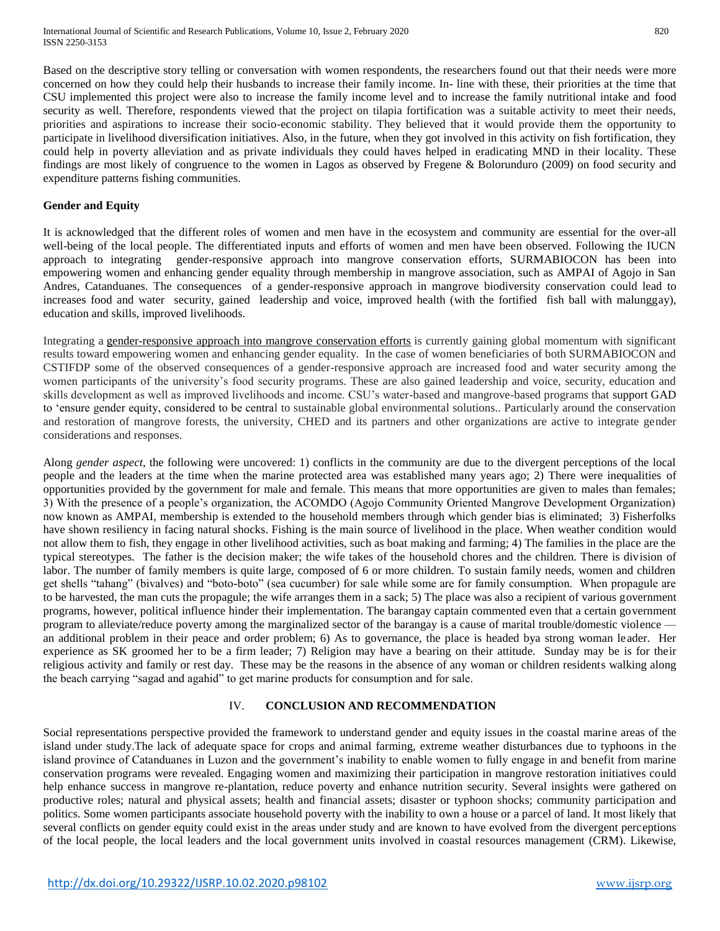Based on the descriptive story telling or conversation with women respondents, the researchers found out that their needs were more concerned on how they could help their husbands to increase their family income. In- line with these, their priorities at the time that CSU implemented this project were also to increase the family income level and to increase the family nutritional intake and food security as well. Therefore, respondents viewed that the project on tilapia fortification was a suitable activity to meet their needs, priorities and aspirations to increase their socio-economic stability. They believed that it would provide them the opportunity to participate in livelihood diversification initiatives. Also, in the future, when they got involved in this activity on fish fortification, they could help in poverty alleviation and as private individuals they could haves helped in eradicating MND in their locality. These findings are most likely of congruence to the women in Lagos as observed by Fregene & Bolorunduro (2009) on food security and expenditure patterns fishing communities.

## **Gender and Equity**

It is acknowledged that the different roles of women and men have in the ecosystem and community are essential for the over-all well-being of the local people. The differentiated inputs and efforts of women and men have been observed. Following the IUCN approach to integrating gender-responsive approach into mangrove conservation efforts, SURMABIOCON has been into empowering women and enhancing gender equality through membership in mangrove association, such as AMPAI of Agojo in San Andres, Catanduanes. The consequences of a gender-responsive approach in mangrove biodiversity conservation could lead to increases food and water security, gained leadership and voice, improved health (with the fortified fish ball with malunggay), education and skills, improved livelihoods.

Integrating a [gender-responsive approach into mangrove conservation efforts](https://portals.iucn.org/union/sites/union/files/doc/rftf_2015_chapter_7.pdf) is currently gaining global momentum with significant results toward empowering women and enhancing gender equality. In the case of women beneficiaries of both SURMABIOCON and CSTIFDP some of the observed consequences of a gender-responsive approach are increased food and water security among the women participants of the university's food security programs. These are also gained leadership and voice, security, education and skills development as well as improved livelihoods and income. CSU's water-based and mangrove-based programs that support GAD to 'ensure gender equity, considered to be central to sustainable global environmental solutions.. Particularly around the conservation and restoration of mangrove forests, the university, CHED and its partners and other organizations are active to integrate gender considerations and responses.

Along *gender aspect*, the following were uncovered: 1) conflicts in the community are due to the divergent perceptions of the local people and the leaders at the time when the marine protected area was established many years ago; 2) There were inequalities of opportunities provided by the government for male and female. This means that more opportunities are given to males than females; 3) With the presence of a people's organization, the ACOMDO (Agojo Community Oriented Mangrove Development Organization) now known as AMPAI, membership is extended to the household members through which gender bias is eliminated; 3) Fisherfolks have shown resiliency in facing natural shocks. Fishing is the main source of livelihood in the place. When weather condition would not allow them to fish, they engage in other livelihood activities, such as boat making and farming; 4) The families in the place are the typical stereotypes. The father is the decision maker; the wife takes of the household chores and the children. There is division of labor. The number of family members is quite large, composed of 6 or more children. To sustain family needs, women and children get shells "tahang" (bivalves) and "boto-boto" (sea cucumber) for sale while some are for family consumption. When propagule are to be harvested, the man cuts the propagule; the wife arranges them in a sack; 5) The place was also a recipient of various government programs, however, political influence hinder their implementation. The barangay captain commented even that a certain government program to alleviate/reduce poverty among the marginalized sector of the barangay is a cause of marital trouble/domestic violence an additional problem in their peace and order problem; 6) As to governance, the place is headed bya strong woman leader. Her experience as SK groomed her to be a firm leader; 7) Religion may have a bearing on their attitude. Sunday may be is for their religious activity and family or rest day. These may be the reasons in the absence of any woman or children residents walking along the beach carrying "sagad and agahid" to get marine products for consumption and for sale.

## IV. **CONCLUSION AND RECOMMENDATION**

Social representations perspective provided the framework to understand gender and equity issues in the coastal marine areas of the island under study.The lack of adequate space for crops and animal farming, extreme weather disturbances due to typhoons in the island province of Catanduanes in Luzon and the government's inability to enable women to fully engage in and benefit from marine conservation programs were revealed. Engaging women and maximizing their participation in mangrove restoration initiatives could help enhance success in mangrove re-plantation, reduce poverty and enhance nutrition security. Several insights were gathered on productive roles; natural and physical assets; health and financial assets; disaster or typhoon shocks; community participation and politics. Some women participants associate household poverty with the inability to own a house or a parcel of land. It most likely that several conflicts on gender equity could exist in the areas under study and are known to have evolved from the divergent perceptions of the local people, the local leaders and the local government units involved in coastal resources management (CRM). Likewise,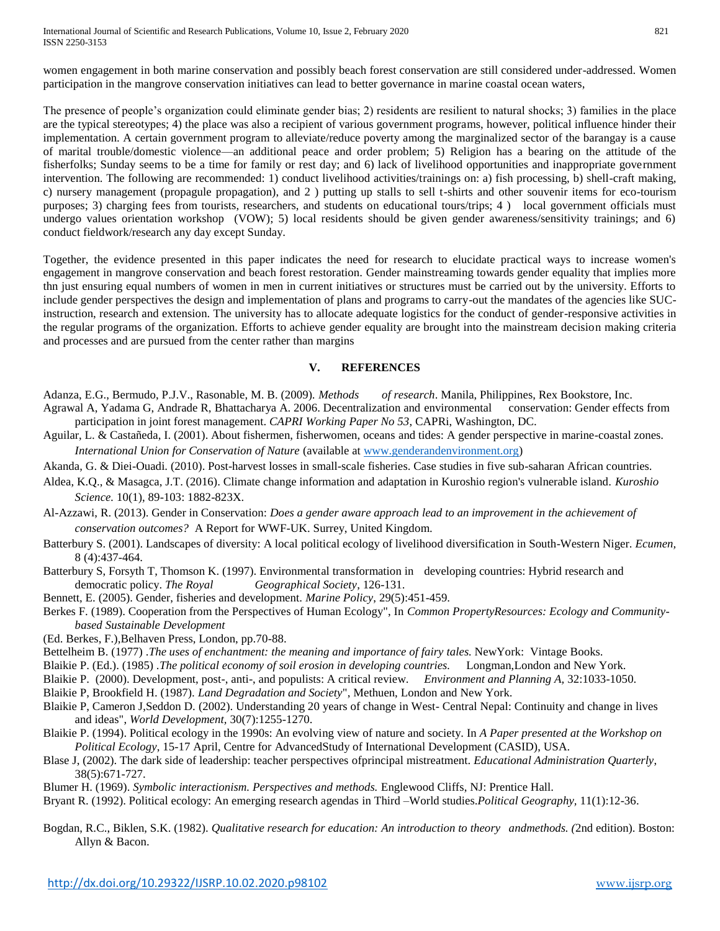International Journal of Scientific and Research Publications, Volume 10, Issue 2, February 2020 821 ISSN 2250-3153

women engagement in both marine conservation and possibly beach forest conservation are still considered under-addressed. Women participation in the mangrove conservation initiatives can lead to better governance in marine coastal ocean waters,

The presence of people's organization could eliminate gender bias; 2) residents are resilient to natural shocks; 3) families in the place are the typical stereotypes; 4) the place was also a recipient of various government programs, however, political influence hinder their implementation. A certain government program to alleviate/reduce poverty among the marginalized sector of the barangay is a cause of marital trouble/domestic violence—an additional peace and order problem; 5) Religion has a bearing on the attitude of the fisherfolks; Sunday seems to be a time for family or rest day; and 6) lack of livelihood opportunities and inappropriate government intervention. The following are recommended: 1) conduct livelihood activities/trainings on: a) fish processing, b) shell-craft making, c) nursery management (propagule propagation), and 2 ) putting up stalls to sell t-shirts and other souvenir items for eco-tourism purposes; 3) charging fees from tourists, researchers, and students on educational tours/trips; 4 ) local government officials must undergo values orientation workshop (VOW); 5) local residents should be given gender awareness/sensitivity trainings; and 6) conduct fieldwork/research any day except Sunday.

Together, the evidence presented in this paper indicates the need for research to elucidate practical ways to increase women's engagement in mangrove conservation and beach forest restoration. Gender mainstreaming towards gender equality that implies more thn just ensuring equal numbers of women in men in current initiatives or structures must be carried out by the university. Efforts to include gender perspectives the design and implementation of plans and programs to carry-out the mandates of the agencies like SUCinstruction, research and extension. The university has to allocate adequate logistics for the conduct of gender-responsive activities in the regular programs of the organization. Efforts to achieve gender equality are brought into the mainstream decision making criteria and processes and are pursued from the center rather than margins

# **V. REFERENCES**

- Adanza, E.G., Bermudo, P.J.V., Rasonable, M. B. (2009). *Methods of research*. Manila, Philippines, Rex Bookstore, Inc.
- Agrawal A, Yadama G, Andrade R, Bhattacharya A. 2006. Decentralization and environmental conservation: Gender effects from participation in joint forest management. *CAPRI Working Paper No 53*, CAPRi, Washington, DC.
- Aguilar, L. & Castañeda, I. (2001). About fishermen, fisherwomen, oceans and tides: A gender perspective in marine-coastal zones. *International Union for Conservation of Nature* (available at [www.genderandenvironment.org\)](http://www.genderandenvironment.org/)
- Akanda, G. & Diei-Ouadi. (2010). Post-harvest losses in small-scale fisheries. Case studies in five sub-saharan African countries.
- Aldea, K.Q., & Masagca, J.T. (2016). Climate change information and adaptation in Kuroshio region's vulnerable island. *Kuroshio Science.* 10(1), 89-103: 1882-823X.
- Al-Azzawi, R. (2013). Gender in Conservation: *Does a gender aware approach lead to an improvement in the achievement of conservation outcomes?* A Report for WWF-UK. Surrey, United Kingdom.
- Batterbury S. (2001). Landscapes of diversity: A local political ecology of livelihood diversification in South-Western Niger. *Ecumen,*  8 (4):437-464.
- Batterbury S, Forsyth T, Thomson K. (1997). Environmental transformation in developing countries: Hybrid research and democratic policy. *The Royal Geographical Society*, 126-131.
- Bennett, E. (2005). Gender, fisheries and development. *Marine Policy*, 29(5):451-459.
- Berkes F. (1989). Cooperation from the Perspectives of Human Ecology", In *Common PropertyResources: Ecology and Communitybased Sustainable Development*
- (Ed. Berkes, F.),Belhaven Press, London, pp.70-88.
- Bettelheim B. (1977) .*The uses of enchantment: the meaning and importance of fairy tales*. NewYork: Vintage Books.
- Blaikie P. (Ed.). (1985) .*The political economy of soil erosion in developing countries.* Longman,London and New York.
- Blaikie P. (2000). Development, post-, anti-, and populists: A critical review. *Environment and Planning A,* 32:1033-1050.
- Blaikie P, Brookfield H. (1987). *Land Degradation and Society*", Methuen, London and New York.
- Blaikie P, Cameron J,Seddon D. (2002). Understanding 20 years of change in West- Central Nepal: Continuity and change in lives and ideas", *World Development,* 30(7):1255-1270.
- Blaikie P. (1994). Political ecology in the 1990s: An evolving view of nature and society. In *A Paper presented at the Workshop on Political Ecology*, 15-17 April, Centre for AdvancedStudy of International Development (CASID), USA.
- Blase J, (2002). The dark side of leadership: teacher perspectives ofprincipal mistreatment. *Educational Administration Quarterly*, 38(5):671-727.
- Blumer H. (1969). *Symbolic interactionism. Perspectives and methods.* Englewood Cliffs, NJ: Prentice Hall.
- Bryant R. (1992). Political ecology: An emerging research agendas in Third –World studies.*Political Geography,* 11(1):12-36.
- Bogdan, R.C., Biklen, S.K. (1982). *Qualitative research for education: An introduction to theory andmethods. (*2nd edition). Boston: Allyn & Bacon.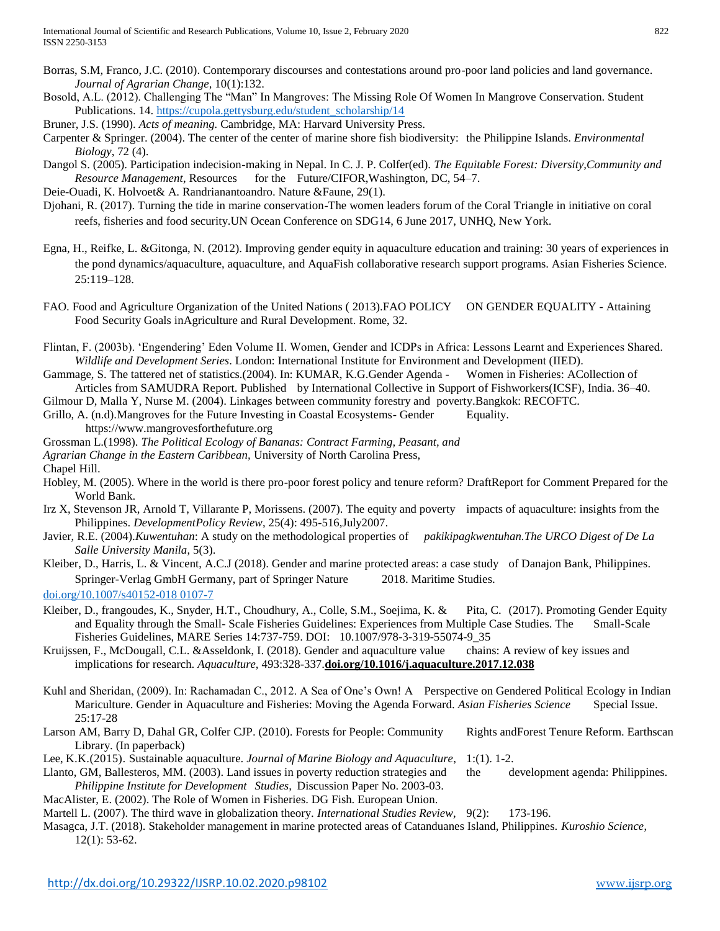- Borras, S.M, Franco, J.C. (2010). Contemporary discourses and contestations around pro-poor land policies and land governance. *Journal of Agrarian Change,* 10(1):132.
- Bosold, A.L. (2012). Challenging The "Man" In Mangroves: The Missing Role Of Women In Mangrove Conservation. Student Publications. 14. [https://cupola.gettysburg.edu/student\\_scholarship/14](https://cupola.gettysburg.edu/student_scholarship/14)
- Bruner, J.S. (1990). *Acts of meaning.* Cambridge, MA: Harvard University Press.
- Carpenter & Springer. (2004). The center of the center of marine shore fish biodiversity: the Philippine Islands. *Environmental Biology*, 72 (4).
- Dangol S. (2005). Participation indecision-making in Nepal. In C. J. P. Colfer(ed). *The Equitable Forest: Diversity,Community and Resource Management*, Resources for the Future/CIFOR,Washington, DC, 54–7.
- Deie-Ouadi, K. Holvoet& A. Randrianantoandro. Nature &Faune, 29(1).
- Djohani, R. (2017). Turning the tide in marine conservation-The women leaders forum of the Coral Triangle in initiative on coral reefs, fisheries and food security.UN Ocean Conference on SDG14, 6 June 2017, UNHQ, New York.
- Egna, H., Reifke, L. &Gitonga, N. (2012). Improving gender equity in aquaculture education and training: 30 years of experiences in the pond dynamics/aquaculture, aquaculture, and AquaFish collaborative research support programs. Asian Fisheries Science. 25:119–128.
- FAO. Food and Agriculture Organization of the United Nations ( 2013).FAO POLICY ON GENDER EQUALITY Attaining Food Security Goals inAgriculture and Rural Development. Rome, 32.
- Flintan, F. (2003b). 'Engendering' Eden Volume II. Women, Gender and ICDPs in Africa: Lessons Learnt and Experiences Shared. *Wildlife and Development Series*. London: International Institute for Environment and Development (IIED).
- Gammage, S. The tattered net of statistics.(2004). In: KUMAR, K.G.Gender Agenda Women in Fisheries: ACollection of Articles from SAMUDRA Report. Published by International Collective in Support of Fishworkers(ICSF), India. 36–40.
- Gilmour D, Malla Y, Nurse M. (2004). Linkages between community forestry and poverty.Bangkok: RECOFTC.
- Grillo, A. (n.d).Mangroves for the Future Investing in Coastal Ecosystems- Gender Equality. https://www.mangrovesforthefuture.org
- Grossman L.(1998). *The Political Ecology of Bananas: Contract Farming, Peasant, and*
- *Agrarian Change in the Eastern Caribbean,* University of North Carolina Press,
- Chapel Hill.
- Hobley, M. (2005). Where in the world is there pro-poor forest policy and tenure reform? DraftReport for Comment Prepared for the World Bank.
- Irz X, Stevenson JR, Arnold T, Villarante P, Morissens. (2007). The equity and poverty impacts of aquaculture: insights from the Philippines. *DevelopmentPolicy Review*, 25(4): 495-516,July2007.
- Javier, R.E. (2004).*Kuwentuhan*: A study on the methodological properties of *pakikipagkwentuhan.The URCO Digest of De La Salle University Manila*, 5(3).
- Kleiber, D., Harris, L. & Vincent, A.C.J (2018). Gender and marine protected areas: a case study of Danajon Bank, Philippines. Springer-Verlag GmbH Germany, part of Springer Nature 2018. Maritime Studies.
- [doi.org/10.1007/s40152-018 0107-7](https://doi.org/10.1007/s40152-018-0107-7)
- Kleiber, D., frangoudes, K., Snyder, H.T., Choudhury, A., Colle, S.M., Soejima, K. & Pita, C. (2017). Promoting Gender Equity and Equality through the Small- Scale Fisheries Guidelines: Experiences from Multiple Case Studies. The Small-Scale Fisheries Guidelines, MARE Series 14:737-759. DOI: 10.1007/978-3-319-55074-9\_35
- Kruijssen, F., McDougall, C.L. &Asseldonk, I. (2018). Gender and aquaculture value chains: A review of key issues and implications for research. *Aquaculture,* 493:328-337.**[doi.org/10.1016/j.aquaculture.2017.12.038](https://doi.org/10.1016/j.aquaculture.2017.12.038)**
- Kuhl and Sheridan, (2009). In: Rachamadan C., 2012. A Sea of One's Own! A Perspective on Gendered Political Ecology in Indian Mariculture. Gender in Aquaculture and Fisheries: Moving the Agenda Forward. *Asian Fisheries Science* Special Issue. 25:17-28
- Larson AM, Barry D, Dahal GR, Colfer CJP. (2010). Forests for People: Community Rights andForest Tenure Reform. Earthscan Library. (In paperback)
- Lee, K.K.(2015). Sustainable aquaculture. *Journal of Marine Biology and Aquaculture*, 1:(1). 1-2.
- Llanto, GM, Ballesteros, MM. (2003). Land issues in poverty reduction strategies and the development agenda: Philippines. *Philippine Institute for Development Studies,* Discussion Paper No. 2003-03.
- MacAlister, E. (2002). The Role of Women in Fisheries. DG Fish. European Union. Martell L. (2007). The third wave in globalization theory. *International Studies Review*, 9(2): 173-196.
- Masagca, J.T. (2018). Stakeholder management in marine protected areas of Catanduanes Island, Philippines. *Kuroshio Science*, 12(1): 53-62.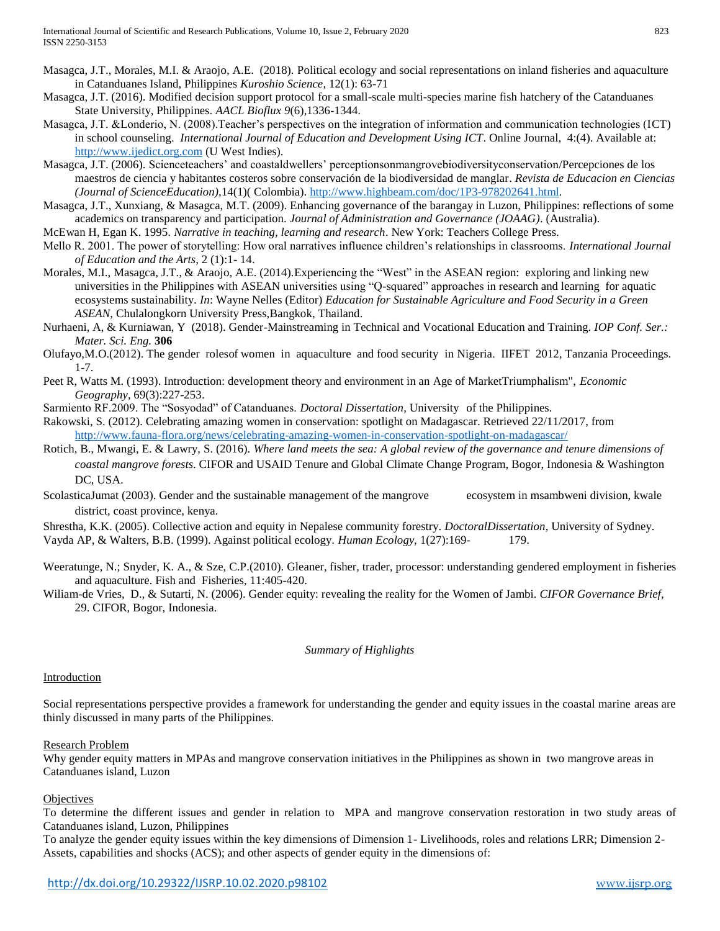- Masagca, J.T., Morales, M.I. & Araojo, A.E. (2018). Political ecology and social representations on inland fisheries and aquaculture in Catanduanes Island, Philippines *Kuroshio Science*, 12(1): 63-71
- Masagca, J.T. (2016). Modified decision support protocol for a small-scale multi-species marine fish hatchery of the Catanduanes State University, Philippines. *AACL Bioflux 9*(6),1336-1344.
- Masagca, J.T. &Londerio, N. (2008).Teacher's perspectives on the integration of information and communication technologies (ICT) in school counseling. *International Journal of Education and Development Using ICT*. Online Journal, 4:(4). Available at: [http://www.ijedict.org.com](http://www.ijedict.org.com/) (U West Indies).
- Masagca, J.T. (2006). Scienceteachers' and coastaldwellers' perceptionsonmangrovebiodiversityconservation/Percepciones de los maestros de ciencia y habitantes costeros sobre conservación de la biodiversidad de manglar. *Revista de Educacion en Ciencias (Journal of ScienceEducation)*,14(1)( Colombia)[. http://www.highbeam.com/doc/1P3-978202641.html.](http://www.highbeam.com/doc/1P3-978202641.html)
- Masagca, J.T., Xunxiang, & Masagca, M.T. (2009). Enhancing governance of the barangay in Luzon, Philippines: reflections of some academics on transparency and participation. *Journal of Administration and Governance (JOAAG)*. (Australia).
- McEwan H, Egan K. 1995. *Narrative in teaching, learning and research*. New York: Teachers College Press.
- Mello R. 2001. The power of storytelling: How oral narratives influence children's relationships in classrooms. *International Journal of Education and the Arts*, 2 (1):1- 14.
- Morales, M.I., Masagca, J.T., & Araojo, A.E. (2014).Experiencing the "West" in the ASEAN region: exploring and linking new universities in the Philippines with ASEAN universities using "Q-squared" approaches in research and learning for aquatic ecosystems sustainability. *In*: Wayne Nelles (Editor) *Education for Sustainable Agriculture and Food Security in a Green ASEAN,* Chulalongkorn University Press,Bangkok, Thailand.
- Nurhaeni, A, & Kurniawan, Y (2018). Gender-Mainstreaming in Technical and Vocational Education and Training. *IOP Conf. Ser.: Mater. Sci. Eng.* **306**
- Olufayo,M.O.(2012). The gender rolesof women in aquaculture and food security in Nigeria. IIFET 2012, Tanzania Proceedings. 1-7.
- Peet R, Watts M. (1993). Introduction: development theory and environment in an Age of MarketTriumphalism", *Economic Geography,* 69(3):227-253.
- Sarmiento RF.2009. The "Sosyodad" of Catanduanes. *Doctoral Dissertation*, University of the Philippines.
- Rakowski, S. (2012). Celebrating amazing women in conservation: spotlight on Madagascar. Retrieved 22/11/2017, from <http://www.fauna-flora.org/news/celebrating-amazing-women-in-conservation-spotlight-on-madagascar/>
- Rotich, B., Mwangi, E. & Lawry, S. (2016). *Where land meets the sea: A global review of the governance and tenure dimensions of coastal mangrove forests*. CIFOR and USAID Tenure and Global Climate Change Program, Bogor, Indonesia & Washington DC, USA.
- ScolasticaJumat (2003). Gender and the sustainable management of the mangrove ecosystem in msambweni division, kwale district, coast province, kenya.
- Shrestha, K.K. (2005). Collective action and equity in Nepalese community forestry. *DoctoralDissertation*, University of Sydney. Vayda AP, & Walters, B.B. (1999). Against political ecology. *Human Ecology,* 1(27):169- 179.
- Weeratunge, N.; Snyder, K. A., & Sze, C.P.(2010). Gleaner, fisher, trader, processor: understanding gendered employment in fisheries and aquaculture. Fish and Fisheries, 11:405-420.
- Wiliam-de Vries, D., & Sutarti, N. (2006). Gender equity: revealing the reality for the Women of Jambi. *CIFOR Governance Brief*, 29. CIFOR, Bogor, Indonesia.

# *Summary of Highlights*

# Introduction

Social representations perspective provides a framework for understanding the gender and equity issues in the coastal marine areas are thinly discussed in many parts of the Philippines.

# Research Problem

Why gender equity matters in MPAs and mangrove conservation initiatives in the Philippines as shown in two mangrove areas in Catanduanes island, Luzon

# **Objectives**

To determine the different issues and gender in relation to MPA and mangrove conservation restoration in two study areas of Catanduanes island, Luzon, Philippines

To analyze the gender equity issues within the key dimensions of Dimension 1- Livelihoods, roles and relations LRR; Dimension 2- Assets, capabilities and shocks (ACS); and other aspects of gender equity in the dimensions of: